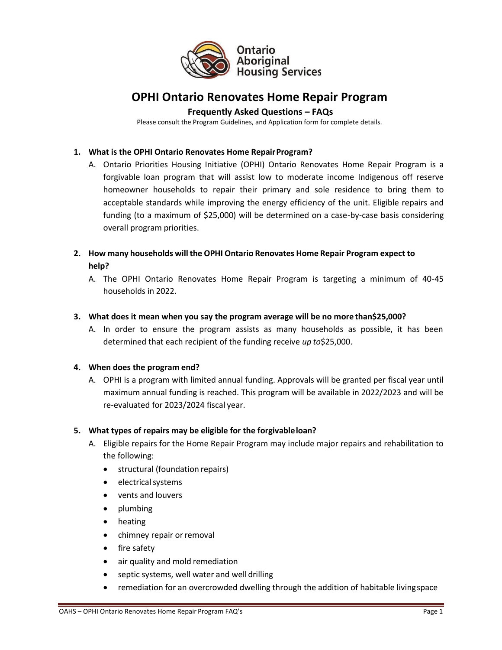

# **OPHI Ontario Renovates Home Repair Program**

# **Frequently Asked Questions – FAQs**

Please consult the Program Guidelines, and Application form for complete details.

### **1. What is the OPHI Ontario Renovates Home Repair Program?**

A. Ontario Priorities Housing Initiative (OPHI) Ontario Renovates Home Repair Program is a forgivable loan program that will assist low to moderate income Indigenous off reserve homeowner households to repair their primary and sole residence to bring them to acceptable standards while improving the energy efficiency of the unit. Eligible repairs and funding (to a maximum of \$25,000) will be determined on a case-by-case basis considering overall program priorities.

# **2. How many households will the OPHI Ontario Renovates Home Repair Program expect to help?**

A. The OPHI Ontario Renovates Home Repair Program is targeting a minimum of 40-45 households in 2022.

#### **3. What does it mean when you say the program average will be no more than\$25,000?**

A. In order to ensure the program assists as many households as possible, it has been determined that each recipient of the funding receive *up to*\$25,000.

#### **4. When does the program end?**

A. OPHI is a program with limited annual funding. Approvals will be granted per fiscal year until maximum annual funding is reached. This program will be available in 2022/2023 and will be re-evaluated for 2023/2024 fiscal year.

# **5. What types of repairs may be eligible for the forgivable loan?**

- A. Eligible repairs for the Home Repair Program may include major repairs and rehabilitation to the following:
	- structural (foundation repairs)
	- electrical systems
	- vents and louvers
	- plumbing
	- heating
	- chimney repair or removal
	- fire safety
	- air quality and mold remediation
	- septic systems, well water and well drilling
	- remediation for an overcrowded dwelling through the addition of habitable living space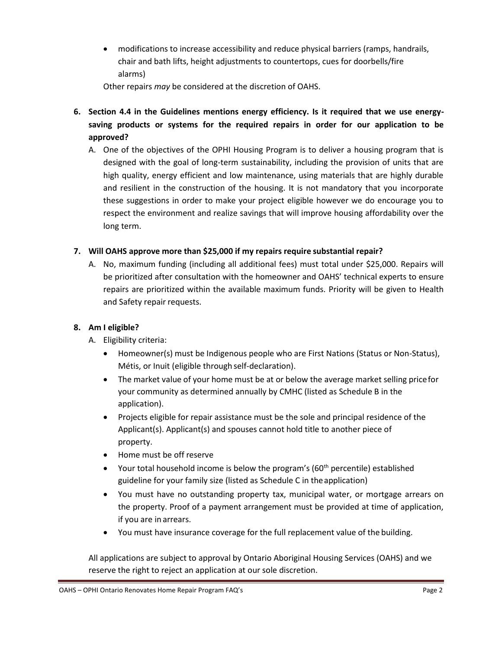• modifications to increase accessibility and reduce physical barriers (ramps, handrails, chair and bath lifts, height adjustments to countertops, cues for doorbells/fire alarms)

Other repairs *may* be considered at the discretion of OAHS.

- **6. Section 4.4 in the Guidelines mentions energy efficiency. Is it required that we use energysaving products or systems for the required repairs in order for our application to be approved?** 
	- A. One of the objectives of the OPHI Housing Program is to deliver a housing program that is designed with the goal of long-term sustainability, including the provision of units that are high quality, energy efficient and low maintenance, using materials that are highly durable and resilient in the construction of the housing. It is not mandatory that you incorporate these suggestions in order to make your project eligible however we do encourage you to respect the environment and realize savings that will improve housing affordability over the long term.

# **7. Will OAHS approve more than \$25,000 if my repairs require substantial repair?**

A. No, maximum funding (including all additional fees) must total under \$25,000. Repairs will be prioritized after consultation with the homeowner and OAHS' technical experts to ensure repairs are prioritized within the available maximum funds. Priority will be given to Health and Safety repair requests.

# **8. Am I eligible?**

- A. Eligibility criteria:
	- Homeowner(s) must be Indigenous people who are First Nations (Status or Non-Status), Métis, or Inuit (eligible through self-declaration).
	- The market value of your home must be at or below the average market selling price for your community as determined annually by CMHC (listed as Schedule B in the application).
	- Projects eligible for repair assistance must be the sole and principal residence of the Applicant(s). Applicant(s) and spouses cannot hold title to another piece of property.
	- Home must be off reserve
	- Your total household income is below the program's ( $60<sup>th</sup>$  percentile) established guideline for your family size (listed as Schedule C in the application)
	- You must have no outstanding property tax, municipal water, or mortgage arrears on the property. Proof of a payment arrangement must be provided at time of application, if you are in arrears.
	- You must have insurance coverage for the full replacement value of the building.

All applications are subject to approval by Ontario Aboriginal Housing Services (OAHS) and we reserve the right to reject an application at our sole discretion.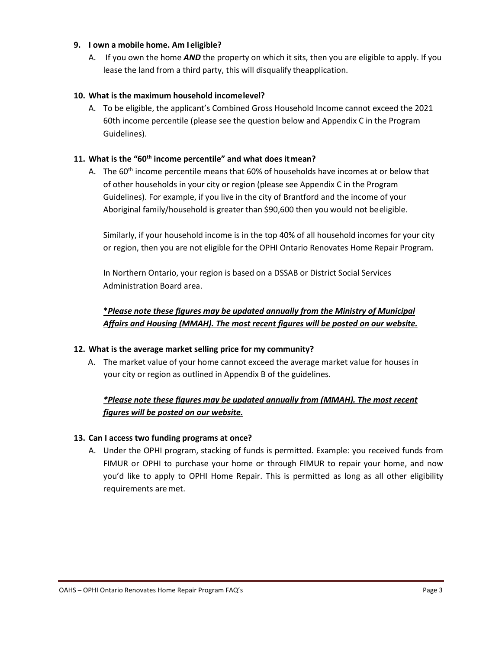### **9. I own a mobile home. Am I eligible?**

A. If you own the home *AND* the property on which it sits, then you are eligible to apply. If you lease the land from a third party, this will disqualify theapplication.

### **10. What is the maximum household income level?**

A. To be eligible, the applicant's Combined Gross Household Income cannot exceed the 2021 60th income percentile (please see the question below and Appendix C in the Program Guidelines).

# **11. What is the "60th income percentile" and what does it mean?**

A. The 60<sup>th</sup> income percentile means that 60% of households have incomes at or below that of other households in your city or region (please see Appendix C in the Program Guidelines). For example, if you live in the city of Brantford and the income of your Aboriginal family/household is greater than \$90,600 then you would not be eligible.

Similarly, if your household income is in the top 40% of all household incomes for your city or region, then you are not eligible for the OPHI Ontario Renovates Home Repair Program.

In Northern Ontario, your region is based on a DSSAB or District Social Services Administration Board area.

**\****Please note these figures may be updated annually from the Ministry of Municipal Affairs and Housing (MMAH). The most recent figures will be posted on our website.* 

#### **12. What is the average market selling price for my community?**

A. The market value of your home cannot exceed the average market value for houses in your city or region as outlined in Appendix B of the guidelines.

# *\*Please note these figures may be updated annually from (MMAH). The most recent figures will be posted on our website.*

#### **13. Can I access two funding programs at once?**

A. Under the OPHI program, stacking of funds is permitted. Example: you received funds from FIMUR or OPHI to purchase your home or through FIMUR to repair your home, and now you'd like to apply to OPHI Home Repair. This is permitted as long as all other eligibility requirements are met.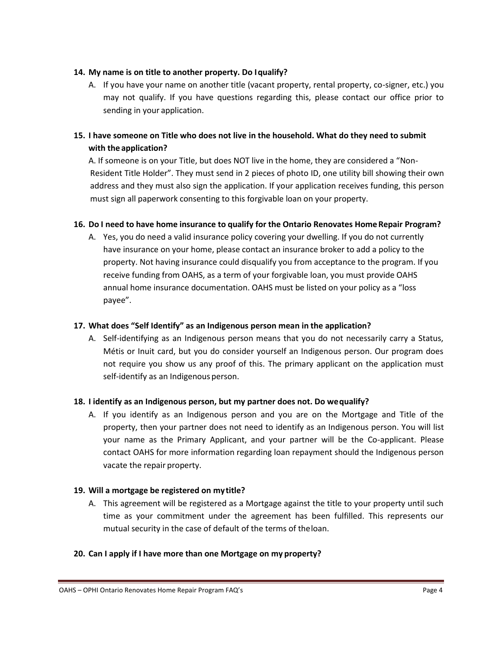### **14. My name is on title to another property. Do I qualify?**

A. If you have your name on another title (vacant property, rental property, co-signer, etc.) you may not qualify. If you have questions regarding this, please contact our office prior to sending in your application.

# **15. I have someone on Title who does not live in the household. What do they need to submit with the application?**

A. If someone is on your Title, but does NOT live in the home, they are considered a "Non-Resident Title Holder". They must send in 2 pieces of photo ID, one utility bill showing their own address and they must also sign the application. If your application receives funding, this person must sign all paperwork consenting to this forgivable loan on your property.

# **16. Do I need to have home insurance to qualify for the Ontario Renovates Home Repair Program?**

A. Yes, you do need a valid insurance policy covering your dwelling. If you do not currently have insurance on your home, please contact an insurance broker to add a policy to the property. Not having insurance could disqualify you from acceptance to the program. If you receive funding from OAHS, as a term of your forgivable loan, you must provide OAHS annual home insurance documentation. OAHS must be listed on your policy as a "loss payee".

### **17. What does "Self Identify" as an Indigenous person mean in the application?**

A. Self-identifying as an Indigenous person means that you do not necessarily carry a Status, Métis or Inuit card, but you do consider yourself an Indigenous person. Our program does not require you show us any proof of this. The primary applicant on the application must self-identify as an Indigenous person.

# **18. I identify as an Indigenous person, but my partner does not. Do we qualify?**

A. If you identify as an Indigenous person and you are on the Mortgage and Title of the property, then your partner does not need to identify as an Indigenous person. You will list your name as the Primary Applicant, and your partner will be the Co-applicant. Please contact OAHS for more information regarding loan repayment should the Indigenous person vacate the repair property.

#### **19. Will a mortgage be registered on my title?**

A. This agreement will be registered as a Mortgage against the title to your property until such time as your commitment under the agreement has been fulfilled. This represents our mutual security in the case of default of the terms of the loan.

# **20. Can I apply if I have more than one Mortgage on my property?**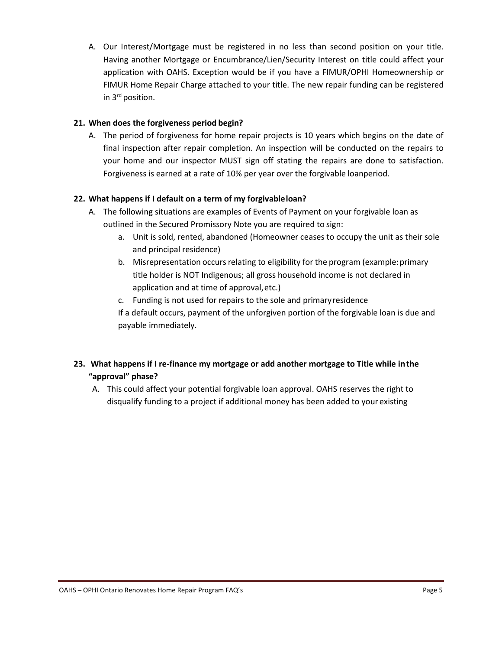A. Our Interest/Mortgage must be registered in no less than second position on your title. Having another Mortgage or Encumbrance/Lien/Security Interest on title could affect your application with OAHS. Exception would be if you have a FIMUR/OPHI Homeownership or FIMUR Home Repair Charge attached to your title. The new repair funding can be registered in 3rd position.

# **21. When does the forgiveness period begin?**

A. The period of forgiveness for home repair projects is 10 years which begins on the date of final inspection after repair completion. An inspection will be conducted on the repairs to your home and our inspector MUST sign off stating the repairs are done to satisfaction. Forgiveness is earned at a rate of 10% per year over the forgivable loanperiod.

# **22. What happens if I default on a term of my forgivable loan?**

- A. The following situations are examples of Events of Payment on your forgivable loan as outlined in the Secured Promissory Note you are required to sign:
	- a. Unit is sold, rented, abandoned (Homeowner ceases to occupy the unit as their sole and principal residence)
	- b. Misrepresentation occurs relating to eligibility for the program (example: primary title holder is NOT Indigenous; all gross household income is not declared in application and at time of approval, etc.)
	- c. Funding is not used for repairs to the sole and primary residence

If a default occurs, payment of the unforgiven portion of the forgivable loan is due and payable immediately.

- **23. What happens if I re-finance my mortgage or add another mortgage to Title while in the "approval" phase?**
	- A. This could affect your potential forgivable loan approval. OAHS reserves the right to disqualify funding to a project if additional money has been added to your existing